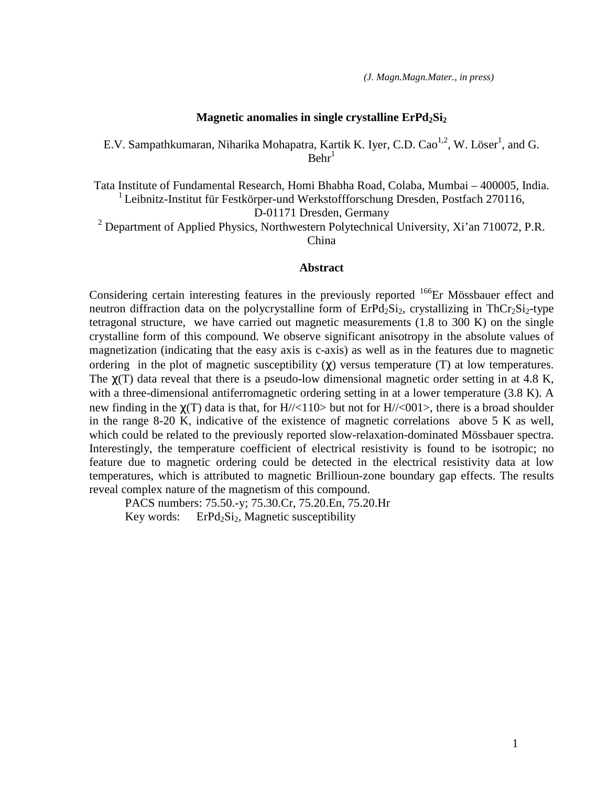## **Magnetic anomalies in single crystalline ErPd2Si<sup>2</sup>**

E.V. Sampathkumaran, Niharika Mohapatra, Kartik K. Iyer, C.D. Cao<sup>1,2</sup>, W. Löser<sup>1</sup>, and G.  $Behr<sup>1</sup>$ 

Tata Institute of Fundamental Research, Homi Bhabha Road, Colaba, Mumbai – 400005, India. <sup>1</sup> Leibnitz-Institut für Festkörper-und Werkstoffforschung Dresden, Postfach 270116, D-01171 Dresden, Germany

<sup>2</sup> Department of Applied Physics, Northwestern Polytechnical University, Xi'an 710072, P.R. China

## **Abstract**

Considering certain interesting features in the previously reported <sup>166</sup>Er Mössbauer effect and neutron diffraction data on the polycrystalline form of  $E rPd_2Si_2$ , crystallizing in ThCr<sub>2</sub>Si<sub>2</sub>-type tetragonal structure, we have carried out magnetic measurements (1.8 to 300 K) on the single crystalline form of this compound. We observe significant anisotropy in the absolute values of magnetization (indicating that the easy axis is c-axis) as well as in the features due to magnetic ordering in the plot of magnetic susceptibility  $(\chi)$  versus temperature (T) at low temperatures. The  $\chi$ (T) data reveal that there is a pseudo-low dimensional magnetic order setting in at 4.8 K, with a three-dimensional antiferromagnetic ordering setting in at a lower temperature (3.8 K). A new finding in the  $\chi(T)$  data is that, for H//<110> but not for H//<001>, there is a broad shoulder in the range 8-20 K, indicative of the existence of magnetic correlations above 5 K as well, which could be related to the previously reported slow-relaxation-dominated Mössbauer spectra. Interestingly, the temperature coefficient of electrical resistivity is found to be isotropic; no feature due to magnetic ordering could be detected in the electrical resistivity data at low temperatures, which is attributed to magnetic Brillioun-zone boundary gap effects. The results reveal complex nature of the magnetism of this compound.

PACS numbers: 75.50.-y; 75.30.Cr, 75.20.En, 75.20.Hr Key words: ErPd<sub>2</sub>Si<sub>2</sub>, Magnetic susceptibility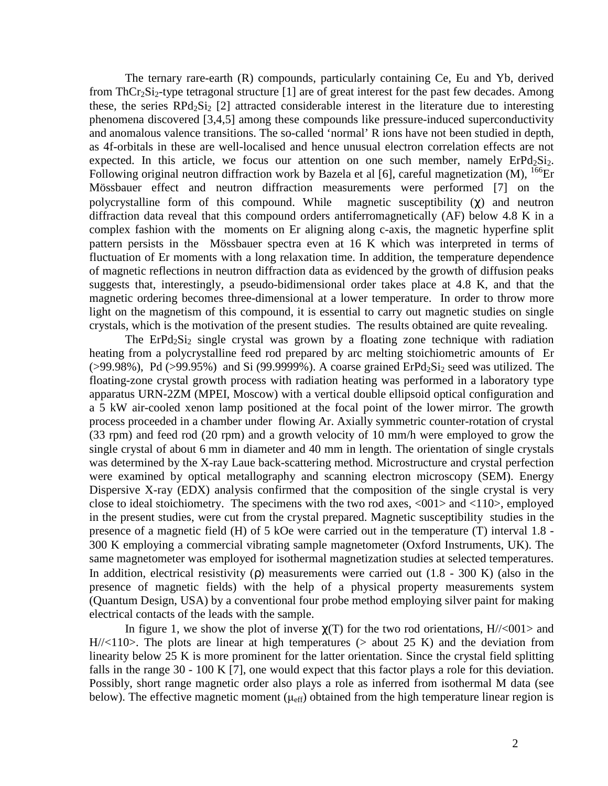The ternary rare-earth (R) compounds, particularly containing Ce, Eu and Yb, derived from ThCr<sub>2</sub>Si<sub>2</sub>-type tetragonal structure [1] are of great interest for the past few decades. Among these, the series  $RPd_2Si_2$  [2] attracted considerable interest in the literature due to interesting phenomena discovered [3,4,5] among these compounds like pressure-induced superconductivity and anomalous valence transitions. The so-called 'normal' R ions have not been studied in depth, as 4f-orbitals in these are well-localised and hence unusual electron correlation effects are not expected. In this article, we focus our attention on one such member, namely  $E\text{rPd}_2\text{Si}_2$ . Following original neutron diffraction work by Bazela et al [6], careful magnetization  $(M)$ ,  $^{166}Er$ Mössbauer effect and neutron diffraction measurements were performed [7] on the polycrystalline form of this compound. While magnetic susceptibility  $(\gamma)$  and neutron diffraction data reveal that this compound orders antiferromagnetically (AF) below 4.8 K in a complex fashion with the moments on Er aligning along c-axis, the magnetic hyperfine split pattern persists in the Mössbauer spectra even at 16 K which was interpreted in terms of fluctuation of Er moments with a long relaxation time. In addition, the temperature dependence of magnetic reflections in neutron diffraction data as evidenced by the growth of diffusion peaks suggests that, interestingly, a pseudo-bidimensional order takes place at 4.8 K, and that the magnetic ordering becomes three-dimensional at a lower temperature. In order to throw more light on the magnetism of this compound, it is essential to carry out magnetic studies on single crystals, which is the motivation of the present studies. The results obtained are quite revealing.

The ErPd<sub>2</sub>Si<sub>2</sub> single crystal was grown by a floating zone technique with radiation heating from a polycrystalline feed rod prepared by arc melting stoichiometric amounts of Er  $(>99.98\%)$ , Pd  $(>99.95\%)$  and Si (99.9999%). A coarse grained ErPd<sub>2</sub>Si<sub>2</sub> seed was utilized. The floating-zone crystal growth process with radiation heating was performed in a laboratory type apparatus URN-2ZM (MPEI, Moscow) with a vertical double ellipsoid optical configuration and a 5 kW air-cooled xenon lamp positioned at the focal point of the lower mirror. The growth process proceeded in a chamber under flowing Ar. Axially symmetric counter-rotation of crystal (33 rpm) and feed rod (20 rpm) and a growth velocity of 10 mm/h were employed to grow the single crystal of about 6 mm in diameter and 40 mm in length. The orientation of single crystals was determined by the X-ray Laue back-scattering method. Microstructure and crystal perfection were examined by optical metallography and scanning electron microscopy (SEM). Energy Dispersive X-ray (EDX) analysis confirmed that the composition of the single crystal is very close to ideal stoichiometry. The specimens with the two rod axes,  $\langle 001 \rangle$  and  $\langle 110 \rangle$ , employed in the present studies, were cut from the crystal prepared. Magnetic susceptibility studies in the presence of a magnetic field (H) of 5 kOe were carried out in the temperature (T) interval 1.8 - 300 K employing a commercial vibrating sample magnetometer (Oxford Instruments, UK). The same magnetometer was employed for isothermal magnetization studies at selected temperatures. In addition, electrical resistivity (ρ) measurements were carried out (1.8 - 300 K) (also in the presence of magnetic fields) with the help of a physical property measurements system (Quantum Design, USA) by a conventional four probe method employing silver paint for making electrical contacts of the leads with the sample.

In figure 1, we show the plot of inverse  $\gamma(T)$  for the two rod orientations, H/ $\ll 001$  and  $H//<110$ . The plots are linear at high temperatures ( $>$  about 25 K) and the deviation from linearity below 25 K is more prominent for the latter orientation. Since the crystal field splitting falls in the range 30 - 100 K [7], one would expect that this factor plays a role for this deviation. Possibly, short range magnetic order also plays a role as inferred from isothermal M data (see below). The effective magnetic moment ( $\mu_{eff}$ ) obtained from the high temperature linear region is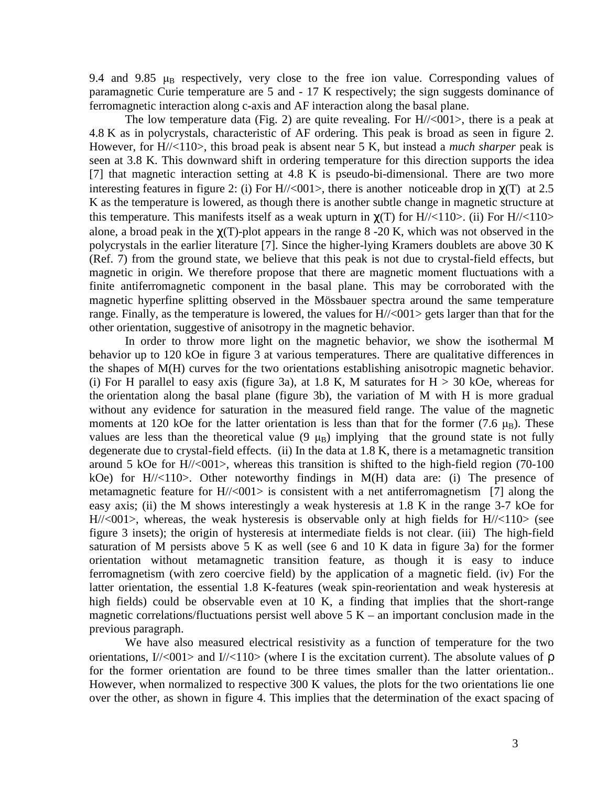9.4 and 9.85  $\mu_B$  respectively, very close to the free ion value. Corresponding values of paramagnetic Curie temperature are 5 and - 17 K respectively; the sign suggests dominance of ferromagnetic interaction along c-axis and AF interaction along the basal plane.

The low temperature data (Fig. 2) are quite revealing. For  $H//<001$ , there is a peak at 4.8 K as in polycrystals, characteristic of AF ordering. This peak is broad as seen in figure 2. However, for H//<110>, this broad peak is absent near 5 K, but instead a *much sharper* peak is seen at 3.8 K. This downward shift in ordering temperature for this direction supports the idea [7] that magnetic interaction setting at 4.8 K is pseudo-bi-dimensional. There are two more interesting features in figure 2: (i) For H/ $\ll 001$ , there is another noticeable drop in  $\gamma(T)$  at 2.5 K as the temperature is lowered, as though there is another subtle change in magnetic structure at this temperature. This manifests itself as a weak upturn in  $\chi(T)$  for H/ $\ll$ 110>. (ii) For H/ $\ll$ 110> alone, a broad peak in the  $\chi(T)$ -plot appears in the range 8 -20 K, which was not observed in the polycrystals in the earlier literature [7]. Since the higher-lying Kramers doublets are above 30 K (Ref. 7) from the ground state, we believe that this peak is not due to crystal-field effects, but magnetic in origin. We therefore propose that there are magnetic moment fluctuations with a finite antiferromagnetic component in the basal plane. This may be corroborated with the magnetic hyperfine splitting observed in the Mössbauer spectra around the same temperature range. Finally, as the temperature is lowered, the values for  $H//<001$  gets larger than that for the other orientation, suggestive of anisotropy in the magnetic behavior.

In order to throw more light on the magnetic behavior, we show the isothermal M behavior up to 120 kOe in figure 3 at various temperatures. There are qualitative differences in the shapes of M(H) curves for the two orientations establishing anisotropic magnetic behavior. (i) For H parallel to easy axis (figure 3a), at 1.8 K, M saturates for  $H > 30$  kOe, whereas for the orientation along the basal plane (figure 3b), the variation of M with H is more gradual without any evidence for saturation in the measured field range. The value of the magnetic moments at 120 kOe for the latter orientation is less than that for the former (7.6  $\mu_B$ ). These values are less than the theoretical value  $(9 \mu_B)$  implying that the ground state is not fully degenerate due to crystal-field effects. (ii) In the data at 1.8 K, there is a metamagnetic transition around 5 kOe for H//<001>, whereas this transition is shifted to the high-field region (70-100 kOe) for H//<110>. Other noteworthy findings in M(H) data are: (i) The presence of metamagnetic feature for  $H//<001$  is consistent with a net antiferromagnetism [7] along the easy axis; (ii) the M shows interestingly a weak hysteresis at 1.8 K in the range 3-7 kOe for  $H//<001$ , whereas, the weak hysteresis is observable only at high fields for  $H//<110$  (see figure 3 insets); the origin of hysteresis at intermediate fields is not clear. (iii) The high-field saturation of M persists above 5 K as well (see 6 and 10 K data in figure 3a) for the former orientation without metamagnetic transition feature, as though it is easy to induce ferromagnetism (with zero coercive field) by the application of a magnetic field. (iv) For the latter orientation, the essential 1.8 K-features (weak spin-reorientation and weak hysteresis at high fields) could be observable even at 10 K, a finding that implies that the short-range magnetic correlations/fluctuations persist well above  $5 K -$  an important conclusion made in the previous paragraph.

We have also measured electrical resistivity as a function of temperature for the two orientations,  $I/\langle 001 \rangle$  and  $I/\langle 110 \rangle$  (where I is the excitation current). The absolute values of  $\rho$ for the former orientation are found to be three times smaller than the latter orientation.. However, when normalized to respective 300 K values, the plots for the two orientations lie one over the other, as shown in figure 4. This implies that the determination of the exact spacing of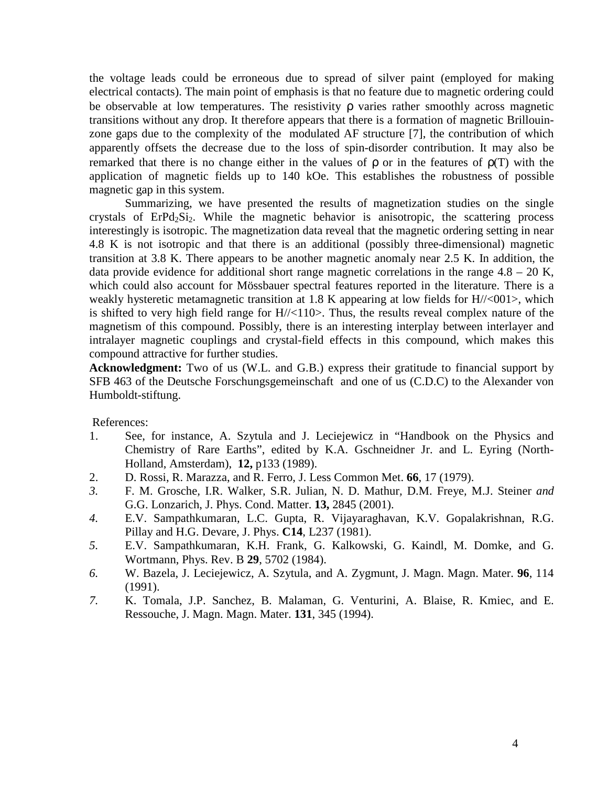the voltage leads could be erroneous due to spread of silver paint (employed for making electrical contacts). The main point of emphasis is that no feature due to magnetic ordering could be observable at low temperatures. The resistivity **ρ** varies rather smoothly across magnetic transitions without any drop. It therefore appears that there is a formation of magnetic Brillouinzone gaps due to the complexity of the modulated AF structure [7], the contribution of which apparently offsets the decrease due to the loss of spin-disorder contribution. It may also be remarked that there is no change either in the values of  $\rho$  or in the features of  $\rho(T)$  with the application of magnetic fields up to 140 kOe. This establishes the robustness of possible magnetic gap in this system.

Summarizing, we have presented the results of magnetization studies on the single crystals of ErPd<sub>2</sub>Si<sub>2</sub>. While the magnetic behavior is anisotropic, the scattering process interestingly is isotropic. The magnetization data reveal that the magnetic ordering setting in near 4.8 K is not isotropic and that there is an additional (possibly three-dimensional) magnetic transition at 3.8 K. There appears to be another magnetic anomaly near 2.5 K. In addition, the data provide evidence for additional short range magnetic correlations in the range  $4.8 - 20$  K, which could also account for Mössbauer spectral features reported in the literature. There is a weakly hysteretic metamagnetic transition at 1.8 K appearing at low fields for H//<001>, which is shifted to very high field range for  $H//<110$ . Thus, the results reveal complex nature of the magnetism of this compound. Possibly, there is an interesting interplay between interlayer and intralayer magnetic couplings and crystal-field effects in this compound, which makes this compound attractive for further studies.

**Acknowledgment:** Two of us (W.L. and G.B.) express their gratitude to financial support by SFB 463 of the Deutsche Forschungsgemeinschaft and one of us (C.D.C) to the Alexander von Humboldt-stiftung.

References:

- 1. See, for instance, A. Szytula and J. Leciejewicz in "Handbook on the Physics and Chemistry of Rare Earths", edited by K.A. Gschneidner Jr. and L. Eyring (North-Holland, Amsterdam), **12,** p133 (1989).
- 2. D. Rossi, R. Marazza, and R. Ferro, J. Less Common Met. **66**, 17 (1979).
- *3.* F. M. Grosche*,* I.R. Walker*,* S.R. Julian*,* N. D. Mathur*,* D.M. Freye*,* M.J. Steiner *and*  G.G. Lonzarich, J. Phys. Cond. Matter. **13,** 2845 (2001).
- *4.* E.V. Sampathkumaran, L.C. Gupta, R. Vijayaraghavan, K.V. Gopalakrishnan, R.G. Pillay and H.G. Devare, J. Phys. **C14**, L237 (1981).
- *5.* E.V. Sampathkumaran, K.H. Frank, G. Kalkowski, G. Kaindl, M. Domke, and G. Wortmann, Phys. Rev. B **29**, 5702 (1984).
- *6.* W. Bazela, J. Leciejewicz, A. Szytula, and A. Zygmunt, J. Magn. Magn. Mater. **96**, 114 (1991).
- *7.* K. Tomala, J.P. Sanchez, B. Malaman, G. Venturini, A. Blaise, R. Kmiec, and E. Ressouche, J. Magn. Magn. Mater. **131**, 345 (1994).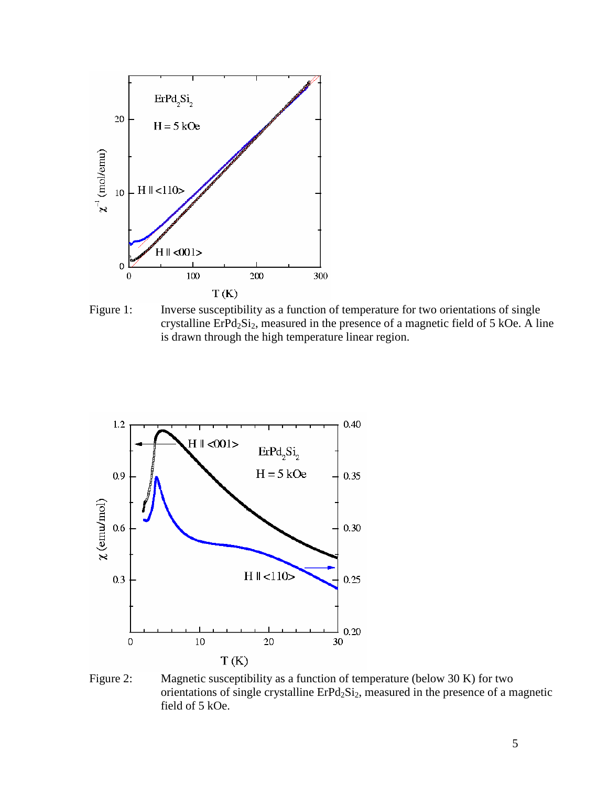

Figure 1: Inverse susceptibility as a function of temperature for two orientations of single crystalline  $E rPd_2Si_2$ , measured in the presence of a magnetic field of 5 kOe. A line is drawn through the high temperature linear region.



Figure 2: Magnetic susceptibility as a function of temperature (below 30 K) for two orientations of single crystalline ErPd<sub>2</sub>Si<sub>2</sub>, measured in the presence of a magnetic field of 5 kOe.